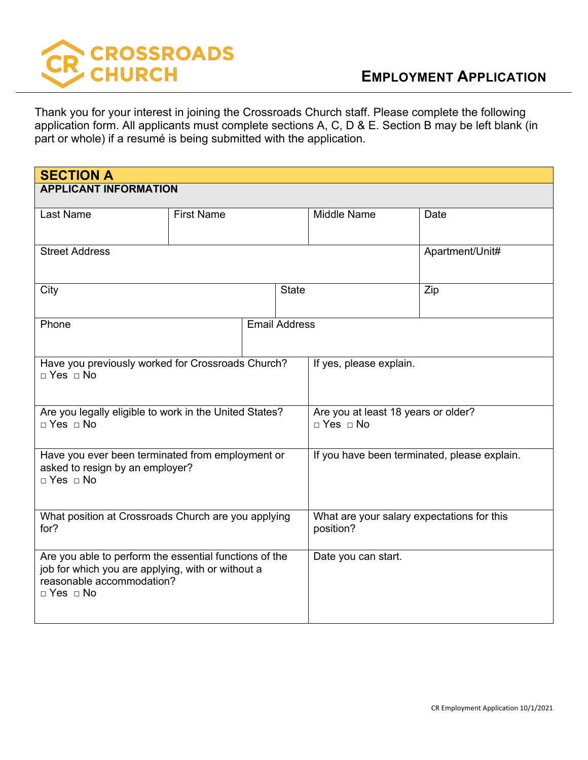

Thank you for your interest in joining the Crossroads Church staff. Please complete the following application form. All applicants must complete sections A, C, D & E. Section B may be left blank (in part or whole) if a resumé is being submitted with the application.

| <b>SECTION A</b>                                                                                                                                                 |                   |  |                                                             |                 |
|------------------------------------------------------------------------------------------------------------------------------------------------------------------|-------------------|--|-------------------------------------------------------------|-----------------|
| <b>APPLICANT INFORMATION</b>                                                                                                                                     |                   |  |                                                             |                 |
| <b>Last Name</b>                                                                                                                                                 | <b>First Name</b> |  | <b>Middle Name</b>                                          | Date            |
|                                                                                                                                                                  |                   |  |                                                             |                 |
| <b>Street Address</b>                                                                                                                                            |                   |  |                                                             | Apartment/Unit# |
| City                                                                                                                                                             |                   |  | <b>State</b>                                                | Zip             |
| <b>Email Address</b><br>Phone                                                                                                                                    |                   |  |                                                             |                 |
| Have you previously worked for Crossroads Church?<br>$\Box$ Yes $\Box$ No                                                                                        |                   |  | If yes, please explain.                                     |                 |
| Are you legally eligible to work in the United States?<br>$\Box$ Yes $\Box$ No                                                                                   |                   |  | Are you at least 18 years or older?<br>$\Box$ Yes $\Box$ No |                 |
| Have you ever been terminated from employment or<br>asked to resign by an employer?<br>$\Box$ Yes $\Box$ No                                                      |                   |  | If you have been terminated, please explain.                |                 |
| What position at Crossroads Church are you applying<br>for?                                                                                                      |                   |  | What are your salary expectations for this<br>position?     |                 |
| Are you able to perform the essential functions of the<br>job for which you are applying, with or without a<br>reasonable accommodation?<br>$\Box$ Yes $\Box$ No |                   |  | Date you can start.                                         |                 |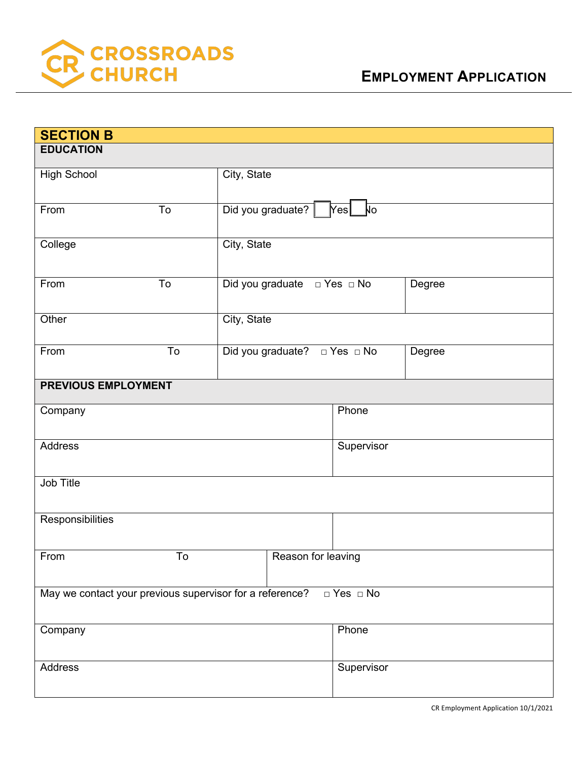

| <b>SECTION B</b>                                                                 |                                  |             |                                        |            |        |
|----------------------------------------------------------------------------------|----------------------------------|-------------|----------------------------------------|------------|--------|
| <b>EDUCATION</b>                                                                 |                                  |             |                                        |            |        |
| <b>High School</b>                                                               |                                  |             | City, State                            |            |        |
|                                                                                  |                                  |             |                                        |            |        |
| From                                                                             | To                               |             | Did you graduate?   Yes<br>$\sqrt{10}$ |            |        |
| College                                                                          |                                  |             | City, State                            |            |        |
|                                                                                  |                                  |             |                                        |            |        |
| From                                                                             | To                               |             | Degree                                 |            |        |
|                                                                                  |                                  |             |                                        |            |        |
| Other                                                                            |                                  | City, State |                                        |            |        |
|                                                                                  |                                  |             |                                        |            |        |
| From                                                                             | To                               |             | Did you graduate? □ Yes □ No           |            | Degree |
| <b>PREVIOUS EMPLOYMENT</b>                                                       |                                  |             |                                        |            |        |
|                                                                                  |                                  |             |                                        |            |        |
| Company                                                                          |                                  |             |                                        | Phone      |        |
| Address                                                                          |                                  |             |                                        | Supervisor |        |
|                                                                                  |                                  |             |                                        |            |        |
| Job Title                                                                        |                                  |             |                                        |            |        |
|                                                                                  |                                  |             |                                        |            |        |
| Responsibilities                                                                 |                                  |             |                                        |            |        |
|                                                                                  |                                  |             |                                        |            |        |
|                                                                                  | From<br>To<br>Reason for leaving |             |                                        |            |        |
|                                                                                  |                                  |             |                                        |            |        |
| May we contact your previous supervisor for a reference?<br>$\Box$ Yes $\Box$ No |                                  |             |                                        |            |        |
| Company<br>Phone                                                                 |                                  |             |                                        |            |        |
|                                                                                  |                                  |             |                                        |            |        |
| Address                                                                          |                                  |             |                                        | Supervisor |        |
|                                                                                  |                                  |             |                                        |            |        |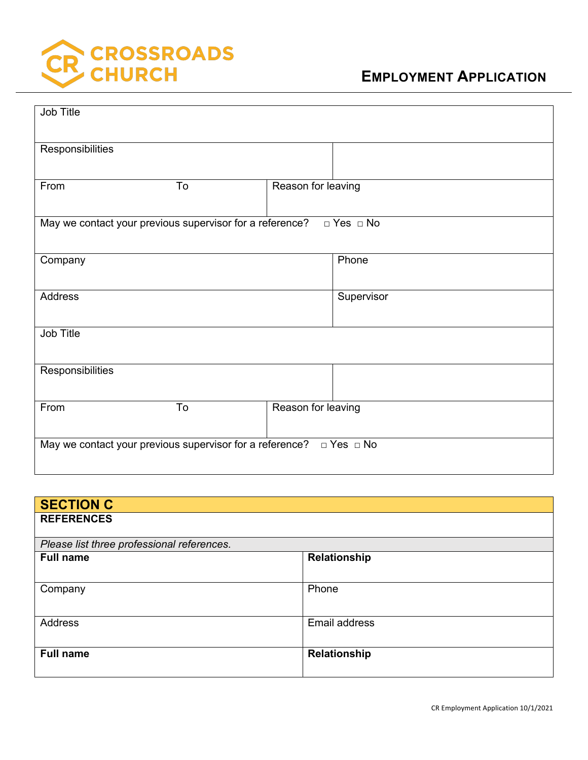

| Job Title                                                                        |    |                    |            |  |
|----------------------------------------------------------------------------------|----|--------------------|------------|--|
| Responsibilities                                                                 |    |                    |            |  |
| From                                                                             | To | Reason for leaving |            |  |
| May we contact your previous supervisor for a reference?<br>$\Box$ Yes $\Box$ No |    |                    |            |  |
| Company                                                                          |    |                    | Phone      |  |
| Address                                                                          |    |                    | Supervisor |  |
| Job Title                                                                        |    |                    |            |  |
| Responsibilities                                                                 |    |                    |            |  |
| From                                                                             | To | Reason for leaving |            |  |
| May we contact your previous supervisor for a reference? $\Box$ Yes $\Box$ No    |    |                    |            |  |

| <b>SECTION C</b>                           |               |  |  |
|--------------------------------------------|---------------|--|--|
| <b>REFERENCES</b>                          |               |  |  |
| Please list three professional references. |               |  |  |
| <b>Full name</b>                           | Relationship  |  |  |
|                                            |               |  |  |
| Company                                    | Phone         |  |  |
|                                            |               |  |  |
| Address                                    | Email address |  |  |
|                                            |               |  |  |
| <b>Full name</b>                           | Relationship  |  |  |
|                                            |               |  |  |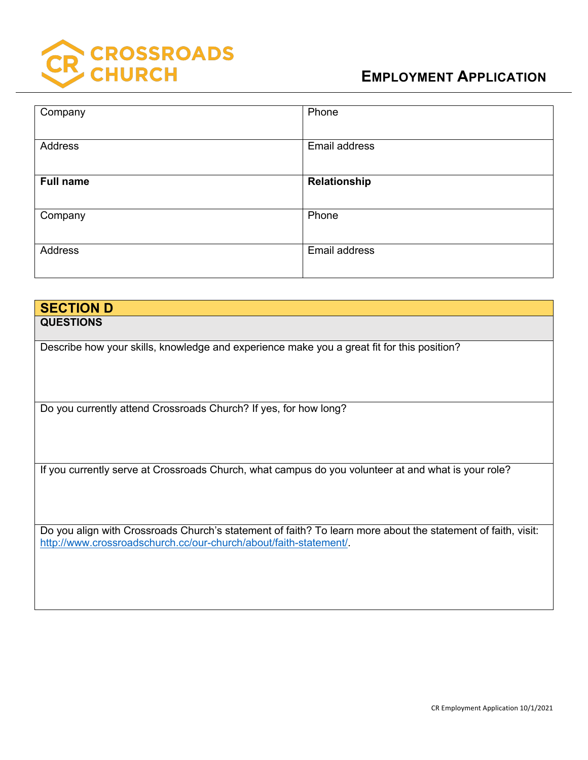

| Company          | Phone         |
|------------------|---------------|
| Address          | Email address |
| <b>Full name</b> | Relationship  |
| Company          | Phone         |
| Address          | Email address |

| <b>SECTION D</b>                                                                                                                                                                  |
|-----------------------------------------------------------------------------------------------------------------------------------------------------------------------------------|
| <b>QUESTIONS</b>                                                                                                                                                                  |
|                                                                                                                                                                                   |
| Describe how your skills, knowledge and experience make you a great fit for this position?                                                                                        |
|                                                                                                                                                                                   |
| Do you currently attend Crossroads Church? If yes, for how long?                                                                                                                  |
| If you currently serve at Crossroads Church, what campus do you volunteer at and what is your role?                                                                               |
| Do you align with Crossroads Church's statement of faith? To learn more about the statement of faith, visit:<br>http://www.crossroadschurch.cc/our-church/about/faith-statement/. |